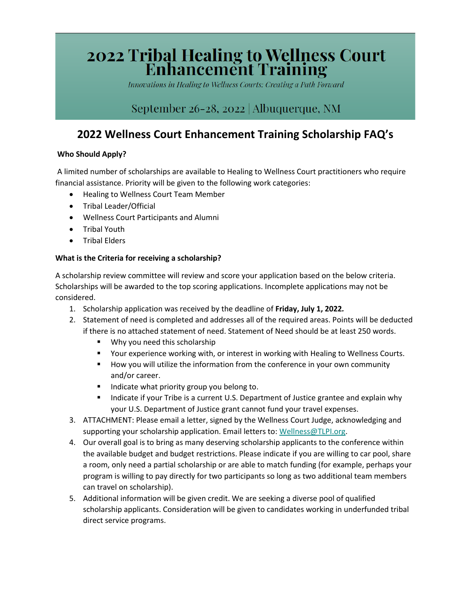# **2022 Tribal Healing to Wellness Court<br>Enhancement Training**

Innovations in Healing to Wellness Courts: Creating a Path Forward

## September 26-28, 2022 | Albuquerque, NM

# **2022 Wellness Court Enhancement Training Scholarship FAQ's**

## **Who Should Apply?**

A limited number of scholarships are available to Healing to Wellness Court practitioners who require financial assistance. Priority will be given to the following work categories:

- Healing to Wellness Court Team Member
- Tribal Leader/Official
- Wellness Court Participants and Alumni
- Tribal Youth
- Tribal Elders

### **What is the Criteria for receiving a scholarship?**

A scholarship review committee will review and score your application based on the below criteria. Scholarships will be awarded to the top scoring applications. Incomplete applications may not be considered.

- 1. Scholarship application was received by the deadline of **Friday, July 1, 2022***.*
- 2. Statement of need is completed and addresses all of the required areas. Points will be deducted if there is no attached statement of need. Statement of Need should be at least 250 words.
	- **Why you need this scholarship**
	- **THE Your experience working with, or interest in working with Healing to Wellness Courts.**
	- How you will utilize the information from the conference in your own community and/or career.
	- **Indicate what priority group you belong to.**
	- Indicate if your Tribe is a current U.S. Department of Justice grantee and explain why your U.S. Department of Justice grant cannot fund your travel expenses.
- 3. ATTACHMENT: Please email a letter, signed by the Wellness Court Judge, acknowledging and supporting your scholarship application. Email letters to: [Wellness@TLPI.org.](mailto:Wellness@TLPI.org)
- 4. Our overall goal is to bring as many deserving scholarship applicants to the conference within the available budget and budget restrictions. Please indicate if you are willing to car pool, share a room, only need a partial scholarship or are able to match funding (for example, perhaps your program is willing to pay directly for two participants so long as two additional team members can travel on scholarship).
- 5. Additional information will be given credit. We are seeking a diverse pool of qualified scholarship applicants. Consideration will be given to candidates working in underfunded tribal direct service programs.